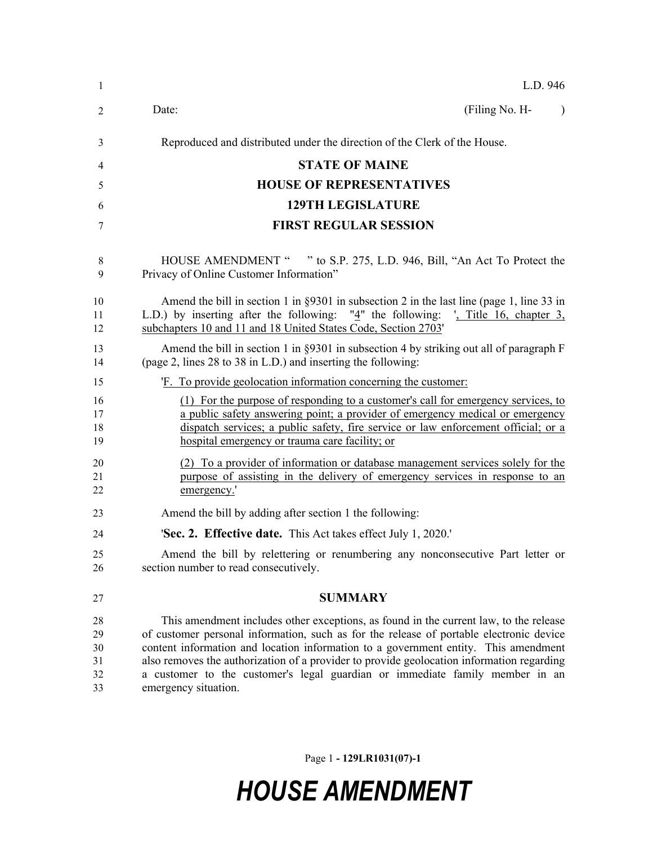| $\mathbf{1}$                     | L.D. 946                                                                                                                                                                                                                                                                                                                                                                                                                                                                     |
|----------------------------------|------------------------------------------------------------------------------------------------------------------------------------------------------------------------------------------------------------------------------------------------------------------------------------------------------------------------------------------------------------------------------------------------------------------------------------------------------------------------------|
| 2                                | Date:<br>(Filing No. H-<br>$\lambda$                                                                                                                                                                                                                                                                                                                                                                                                                                         |
| 3                                | Reproduced and distributed under the direction of the Clerk of the House.                                                                                                                                                                                                                                                                                                                                                                                                    |
| 4                                | <b>STATE OF MAINE</b>                                                                                                                                                                                                                                                                                                                                                                                                                                                        |
| 5                                | <b>HOUSE OF REPRESENTATIVES</b>                                                                                                                                                                                                                                                                                                                                                                                                                                              |
| 6                                | <b>129TH LEGISLATURE</b>                                                                                                                                                                                                                                                                                                                                                                                                                                                     |
| 7                                | <b>FIRST REGULAR SESSION</b>                                                                                                                                                                                                                                                                                                                                                                                                                                                 |
| 8<br>9                           | HOUSE AMENDMENT " " to S.P. 275, L.D. 946, Bill, "An Act To Protect the<br>Privacy of Online Customer Information"                                                                                                                                                                                                                                                                                                                                                           |
| 10<br>11<br>12                   | Amend the bill in section 1 in $\S 9301$ in subsection 2 in the last line (page 1, line 33 in<br>L.D.) by inserting after the following: " $4$ " the following: ', Title 16, chapter 3,<br>subchapters 10 and 11 and 18 United States Code, Section 2703'                                                                                                                                                                                                                    |
| 13<br>14                         | Amend the bill in section 1 in $\S 9301$ in subsection 4 by striking out all of paragraph F<br>(page 2, lines 28 to 38 in L.D.) and inserting the following:                                                                                                                                                                                                                                                                                                                 |
| 15                               | 'F. To provide geolocation information concerning the customer:                                                                                                                                                                                                                                                                                                                                                                                                              |
| 16<br>17<br>18<br>19             | (1) For the purpose of responding to a customer's call for emergency services, to<br>a public safety answering point; a provider of emergency medical or emergency<br>dispatch services; a public safety, fire service or law enforcement official; or a<br>hospital emergency or trauma care facility; or                                                                                                                                                                   |
| 20<br>21<br>22                   | (2) To a provider of information or database management services solely for the<br>purpose of assisting in the delivery of emergency services in response to an<br>emergency.'                                                                                                                                                                                                                                                                                               |
| 23                               | Amend the bill by adding after section 1 the following:                                                                                                                                                                                                                                                                                                                                                                                                                      |
| 24                               | <b>'Sec. 2. Effective date.</b> This Act takes effect July 1, 2020.'                                                                                                                                                                                                                                                                                                                                                                                                         |
| 25<br>26                         | Amend the bill by relettering or renumbering any nonconsecutive Part letter or<br>section number to read consecutively.                                                                                                                                                                                                                                                                                                                                                      |
| 27                               | <b>SUMMARY</b>                                                                                                                                                                                                                                                                                                                                                                                                                                                               |
| 28<br>29<br>30<br>31<br>32<br>33 | This amendment includes other exceptions, as found in the current law, to the release<br>of customer personal information, such as for the release of portable electronic device<br>content information and location information to a government entity. This amendment<br>also removes the authorization of a provider to provide geolocation information regarding<br>a customer to the customer's legal guardian or immediate family member in an<br>emergency situation. |

Page 1 **- 129LR1031(07)-1**

## *HOUSE AMENDMENT*